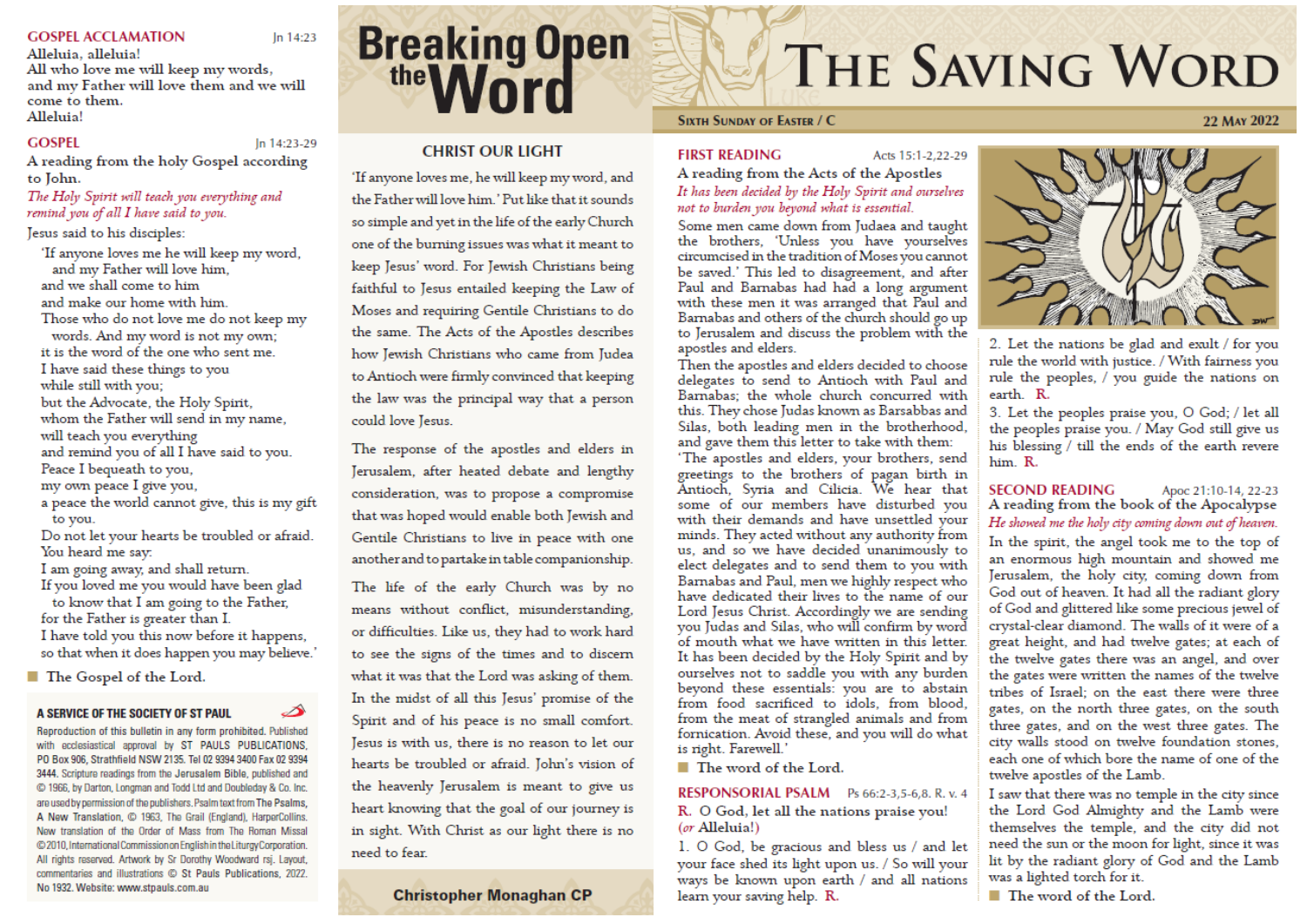#### **GOSPEL ACCLAMATION**

### Alleluia, alleluia!

All who love me will keep my words. and my Father will love them and we will come to them. **Allehuial** 

#### **GOSPFI**

In 14:23-29

 $ln 14:23$ 

A reading from the holy Gospel according to John. The Holy Spirit will teach you everything and

remind you of all I have said to you.

Jesus said to his disciples:

'If anyone loves me he will keep my word. and my Father will love him. and we shall come to him and make our home with him. Those who do not love me do not keep my words. And my word is not my own; it is the word of the one who sent me. I have said these things to you while still with you; but the Advocate, the Holy Spirit, whom the Father will send in my name, will teach you everything and remind you of all I have said to you.

Peace I bequeath to you. my own peace I give you,

- a peace the world cannot give, this is my gift
- to you.

Do not let your hearts be troubled or afraid. You heard me say:

I am going away, and shall return.

If you loved me you would have been glad to know that I am going to the Father, for the Father is greater than I.

I have told you this now before it happens, so that when it does happen you may believe.'

■ The Gospel of the Lord.

#### A SERVICE OF THE SOCIETY OF ST PAUL

Reproduction of this bulletin in any form prohibited. Published with ecclesiastical approval by ST PAULS PUBLICATIONS, PO Box 906, Strathfield NSW 2135. Tel 02 9394 3400 Fax 02 9394 3444. Scripture readings from the Jerusalem Bible, published and C 1966, by Darton, Longman and Todd Ltd and Doubleday & Co. Inc. are used by permission of the publishers. Psalm text from The Psalms, A New Translation, C 1963, The Grail (England), HarperCollins. New translation of the Order of Mass from The Roman Missal @2010, International Commission on English in the Liturgy Corporation. All rights reserved. Artwork by Sr Dorothy Woodward rsj. Layout, commentaries and illustrations C St Pauls Publications, 2022. No 1932. Website: www.stpauls.com.au

# **Breaking Open**

## **CHRIST OUR LIGHT**

'If anyone loves me, he will keep my word, and the Father will love him.' Put like that it sounds so simple and yet in the life of the early Church one of the burning issues was what it meant to keep Jesus' word. For Jewish Christians being faithful to Jesus entailed keeping the Law of Moses and requiring Gentile Christians to do the same. The Acts of the Apostles describes how Jewish Christians who came from Judea to Antioch were firmly convinced that keeping the law was the principal way that a person could love Jesus.

The response of the apostles and elders in Jerusalem, after heated debate and lengthy consideration, was to propose a compromise that was hoped would enable both Jewish and Gentile Christians to live in peace with one another and to partake in table companionship.

The life of the early Church was by no means without conflict, misunderstanding, or difficulties. Like us, they had to work hard to see the signs of the times and to discern what it was that the Lord was asking of them. In the midst of all this Jesus' promise of the Spirit and of his peace is no small comfort. Jesus is with us, there is no reason to let our hearts be troubled or afraid. John's vision of the heavenly Jerusalem is meant to give us heart knowing that the goal of our journey is in sight. With Christ as our light there is no need to fear

#### **Christopher Monaghan CP**

# THE SAVING WORD

#### **SIXTH SUNDAY OF EASTER / C.**

**FIRST READING** Acts 15:1.2.22.29 A reading from the Acts of the Apostles It has been decided by the Holy Spirit and ourselves not to burden you beyond what is essential.

Some men came down from Judaea and taught the brothers, 'Unless you have yourselves circumcised in the tradition of Moses you cannot be saved.' This led to disagreement, and after Paul and Barnabas had had a long argument with these men it was arranged that Paul and Barnabas and others of the church should go up to Jerusalem and discuss the problem with the apostles and elders.

Then the apostles and elders decided to choose delegates to send to Antioch with Paul and Barnabas: the whole church concurred with this. They chose Judas known as Barsabbas and Silas, both leading men in the brotherhood, and gave them this letter to take with them: 'The apostles and elders, your brothers, send greetings to the brothers of pagan birth in

Äntioch. Svria and Cilicia. We hear that some of our members have disturbed vou with their demands and have unsettled your minds. They acted without any authority from us, and so we have decided unanimously to elect delegates and to send them to you with Barnabas and Paul, men we highly respect who have dedicated their lives to the name of our Lord Jesus Christ. Accordingly we are sending vou Judas and Silas, who will confirm by word of mouth what we have written in this letter. It has been decided by the Holy Spirit and by ourselves not to saddle vou with any burden bevond these essentials: vou are to abstain from food sacrificed to idols, from blood, from the meat of strangled animals and from fornication. Avoid these, and you will do what is right. Farewell.'

■ The word of the Lord.

# RESPONSORIAL PSALM Ps 66:2-3.5-6.8. R. v. 4

R. O God, let all the nations praise you!  $(or$  Alleluia!)

1. O God, be gracious and bless us / and let your face shed its light upon us. / So will your ways be known upon earth / and all nations learn your saving help. R.



22 MAY 2022

2. Let the nations be glad and exult / for you rule the world with justice. / With fairness you rule the peoples, / you guide the nations on earth R.

3. Let the peoples praise you, O God; / let all the peoples praise you. / May God still give us his blessing / till the ends of the earth revere him R.

#### **SECOND READING** Apoc 21:10-14, 22-23 A reading from the book of the Apocalypse He showed me the holy city coming down out of heaven.

In the spirit, the angel took me to the top of an enormous high mountain and showed me Jerusalem, the holy city, coming down from God out of heaven. It had all the radiant glory of God and glittered like some precious jewel of crystal-clear diamond. The walls of it were of a great height, and had twelve gates; at each of the twelve gates there was an angel, and over the gates were written the names of the twelve tribes of Israel: on the east there were three gates, on the north three gates, on the south three gates, and on the west three gates. The city walls stood on twelve foundation stones, each one of which bore the name of one of the twelve apostles of the Lamb.

I saw that there was no temple in the city since the Lord God Almighty and the Lamb were themselves the temple, and the city did not need the sun or the moon for light, since it was lit by the radiant glory of God and the Lamb was a lighted torch for it.

■ The word of the Lord.